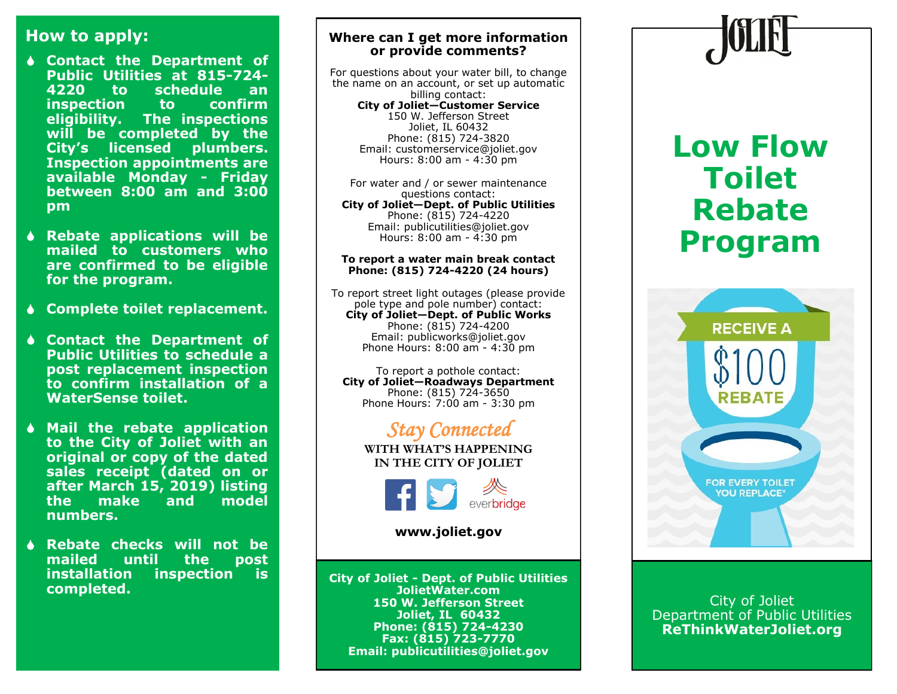## **How to apply:**

- **Contact the Department of Public Utilities at 815-724- 4220 to schedule an inspection to confirm eligibility. The inspections will be completed by the City's licensed plumbers. Inspection appointments are available Monday - Friday between 8:00 am and 3:00 pm**
- **Rebate applications will be mailed to customers who are confirmed to be eligible for the program.**
- **Complete toilet replacement.**
- **Contact the Department of Public Utilities to schedule a post replacement inspection to confirm installation of a WaterSense toilet.**
- **Mail the rebate application to the City of Joliet with an original or copy of the dated sales receipt (dated on or after March 15, 2019) listing the make and model numbers.**
- **Rebate checks will not be mailed until the post inspection** is **completed.**

### **Where can I get more information or provide comments?**

For questions about your water bill, to change the name on an account, or set up automatic billing contact: **City of Joliet—Customer Service** 150 W. Jefferson Street Joliet, IL 60432 Phone: (815) 724-3820 Email: customerservice@joliet.gov Hours: 8:00 am - 4:30 pm

For water and / or sewer maintenance questions contact: **City of Joliet—Dept. of Public Utilities** Phone: (815) 724-4220 Email: publicutilities@joliet.gov Hours: 8:00 am - 4:30 pm

#### **To report a water main break contact Phone: (815) 724-4220 (24 hours)**

To report street light outages (please provide pole type and pole number) contact: **City of Joliet—Dept. of Public Works** Phone: (815) 724-4200 Email: publicworks@joliet.gov Phone Hours: 8:00 am - 4:30 pm

To report a pothole contact: **City of Joliet—Roadways Department** Phone: (815) 724-3650 Phone Hours: 7:00 am - 3:30 pm

## *Stay Connected*

**WITH WHAT'S HAPPENING IN THE CITY OF JOLIET**



**www.joliet.gov**

**City of Joliet - Dept. of Public Utilities JolietWater.com 150 W. Jefferson Street Joliet, IL 60432 Phone: (815) 724-4230 Fax: (815) 723-7770 Email: publicutilities@joliet.gov**

# **Low Flow Toilet Rebate Program**



City of Joliet Department of Public Utilities **ReThinkWaterJoliet.org**